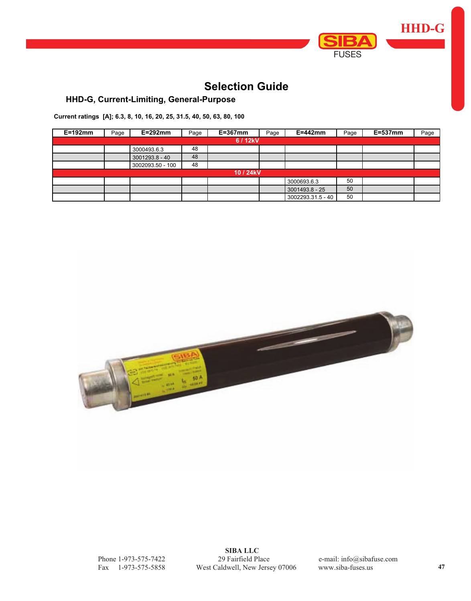

# **Selection Guide**

## **HHD-G, Current-Limiting, General-Purpose**

**Current ratings [A]; 6.3, 8, 10, 16, 20, 25, 31.5, 40, 50, 63, 80, 100**

| $E=192$ mm | Page      | $E=292$ mm       | Page | $E = 367$ mm | Page | $E = 442$ mm      | Page | $E=537$ mm | Page |  |  |
|------------|-----------|------------------|------|--------------|------|-------------------|------|------------|------|--|--|
| 6 / 12kV   |           |                  |      |              |      |                   |      |            |      |  |  |
|            |           | 3000493.6.3      | 48   |              |      |                   |      |            |      |  |  |
|            |           | 3001293.8 - 40   | 48   |              |      |                   |      |            |      |  |  |
|            |           | 3002093.50 - 100 | 48   |              |      |                   |      |            |      |  |  |
|            | 10 / 24kV |                  |      |              |      |                   |      |            |      |  |  |
|            |           |                  |      |              |      | 3000693.6.3       | 50   |            |      |  |  |
|            |           |                  |      |              |      | 3001493.8 - 25    | 50   |            |      |  |  |
|            |           |                  |      |              |      | 3002293.31.5 - 40 | 50   |            |      |  |  |



 **SIBA LLC** Phone 1-973-575-7422 29 Fairfield Place e-mail: info@sibafuse.com Fax 1-973-575-5858 West Caldwell, New Jersey 07006 www.siba-fuses.us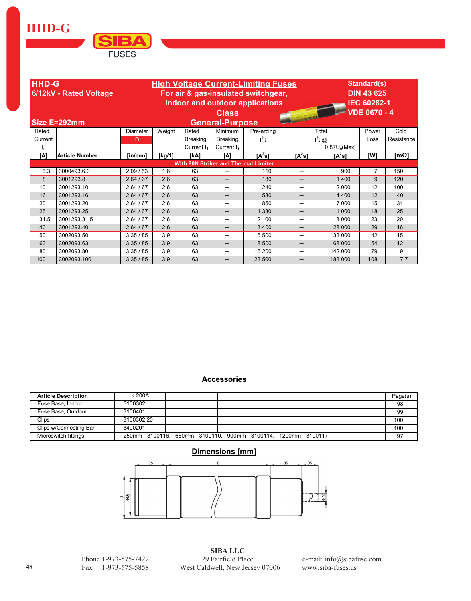**HHD-G** 



| <b>HHD-G</b><br>6/12kV - Rated Voltage |                                             | <b>High Voltage Current-Limiting Fuses</b><br>For air & gas-insulated switchgear, |                                 |                        |                          |            |                          |                | Standard(s)<br><b>DIN 43 625</b> |                     |  |
|----------------------------------------|---------------------------------------------|-----------------------------------------------------------------------------------|---------------------------------|------------------------|--------------------------|------------|--------------------------|----------------|----------------------------------|---------------------|--|
|                                        |                                             |                                                                                   | indoor and outdoor applications | <b>IEC 60282-1</b>     |                          |            |                          |                |                                  |                     |  |
|                                        |                                             |                                                                                   |                                 |                        | <b>Class</b>             |            | <b>SOUTH AND</b>         |                | <b>VDE 0670 - 4</b>              |                     |  |
|                                        | Size E=292mm                                |                                                                                   |                                 |                        | <b>General-Purpose</b>   |            |                          |                |                                  |                     |  |
| Rated                                  |                                             | Diameter                                                                          | Weight                          | Rated                  | Minimum                  | Pre-arcing |                          | Total          | Power                            | Cold                |  |
| Current                                |                                             | D                                                                                 |                                 | <b>Breaking</b>        | <b>Breaking</b>          | $l^2$ t    |                          | $I^2$ t @      | Loss                             | Resistance          |  |
| $I_n$                                  |                                             |                                                                                   |                                 | Current I <sub>1</sub> | Current $I_3$            |            |                          | $0.87U_n(Max)$ |                                  |                     |  |
| [A]                                    | <b>Article Number</b>                       | [in/mm]                                                                           | [ $kg/1$ ]                      | [kA]                   | [A]                      | $[A^2s]$   | $[A^2s]$                 | $[A^2s]$       | [W]                              | $\mathsf{Im}\Omega$ |  |
|                                        | <b>With 80N Striker and Thermal Limiter</b> |                                                                                   |                                 |                        |                          |            |                          |                |                                  |                     |  |
| 6.3                                    | 3000493.6.3                                 | 2.09/53                                                                           | 1.6                             | 63                     |                          | 110        | —                        | 900            | $\overline{7}$                   | 150                 |  |
| 8                                      | 3001293.8                                   | 2.64/67                                                                           | 2.6                             | 63                     | $\overline{\phantom{0}}$ | 180        | $\overline{\phantom{0}}$ | 1400           | 9                                | 120                 |  |
| 10                                     | 3001293.10                                  | 2.64 / 67                                                                         | 2.6                             | 63                     | —                        | 240        | —                        | 2 0 0 0        | 12                               | 100                 |  |
| 16                                     | 3001293.16                                  | 2.64 / 67                                                                         | 2.6                             | 63                     | —                        | 530        | —                        | 4 4 0 0        | 12                               | 40                  |  |
| 20                                     | 3001293.20                                  | 2.64 / 67                                                                         | 2.6                             | 63                     | —                        | 850        | —                        | 7 0 0 0        | 15                               | 31                  |  |
| 25                                     | 3001293.25                                  | 2.64/67                                                                           | 2.6                             | 63                     | —                        | 1 3 3 0    | —                        | 11 000         | 18                               | 25                  |  |
| 31.5                                   | 3001293.31.5                                | 2.64/67                                                                           | 2.6                             | 63                     | —                        | 2 100      | —                        | 18 000         | 23                               | 20                  |  |
| 40                                     | 3001293.40                                  | 2.64/67                                                                           | 2.6                             | 63                     | —                        | 3 4 0 0    | —                        | 28 000         | 29                               | 16                  |  |
| 50                                     | 3002093.50                                  | 3.35 / 85                                                                         | 3.9                             | 63                     | —                        | 5 500      | —                        | 33 000         | 42                               | 15                  |  |
| 63                                     | 3002093.63                                  | 3.35 / 85                                                                         | 3.9                             | 63                     | —                        | 8 500      | —                        | 68 000         | 54                               | 12                  |  |
| 80                                     | 3002093.80                                  | 3.35 / 85                                                                         | 3.9                             | 63                     |                          | 16 200     |                          | 142 000        | 79                               | 9                   |  |
| 100                                    | 3002093.100                                 | 3.35 / 85                                                                         | 3.9                             | 63                     |                          | 23 500     |                          | 183 000        | 108                              | 7.7                 |  |

#### **Accessories**

| <b>Article Description</b> | $\leq$ 200A |                                                                     | Page(s) |
|----------------------------|-------------|---------------------------------------------------------------------|---------|
| Fuse Base, Indoor          | 3100302     |                                                                     | 98      |
| Fuse Base, Outdoor         | 3100401     |                                                                     | 99      |
| Clips                      | 3100302.20  |                                                                     | 100     |
| Clips w/Connecting Bar     | 3400201     |                                                                     | 100     |
| Microswitch fittings       |             | 250mm - 3100116, 660mm - 3100110, 900mm - 3100114, 1200mm - 3100117 |         |

## Dimensions [mm]



Phone 1-973-575-7422 Fax 1-973-575-5858

**SIBA LLC** 29 Fairfield Place West Caldwell, New Jersey 07006

e-mail: info@sibafuse.com www.siba-fuses.us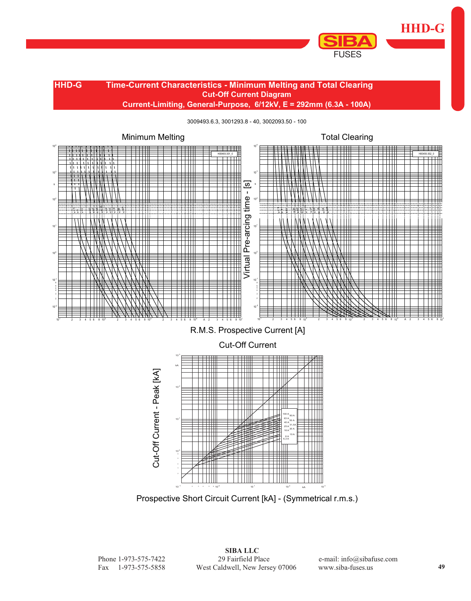

#### **Cut-Off Current Diagram Current-Limiting, General-Purpose, 6/12kV, E = 292mm (6.3A - 100A) HHD-G Time-Current Characteristics - Minimum Melting and Total Clearing**

3009493.6.3, 3001293.8 - 40, 3002093.50 - 100



Prospective Short Circuit Current [kA] - (Symmetrical r.m.s.) 10<sup>-1</sup> 2 3 4 6 8 10<sup>0</sup> 10<sup>1</sup> 10<sup>2</sup> kA 10

 $-1$  0  $1$   $10^2$   $10^3$   $10^3$   $10^3$   $10^3$ 

kA

 **SIBA LLC** Phone 1-973-575-7422 29 Fairfield Place e-mail: info@sibafuse.com Fax 1-973-575-5858 West Caldwell, New Jersey 07006 www.siba-fuses.us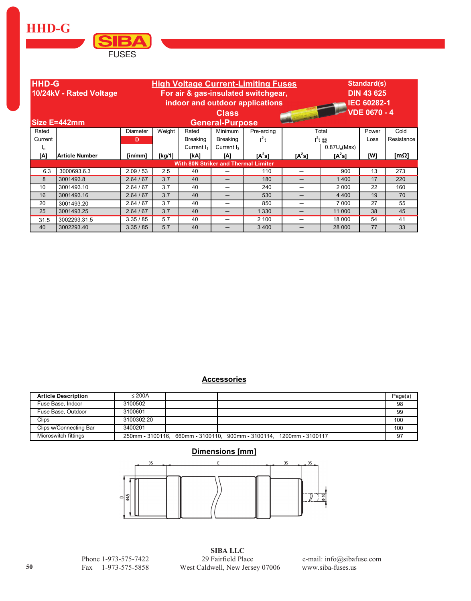**HHD-G** 



| <b>HHD-G</b><br>10/24kV - Rated Voltage<br>Size E=442mm |                                             | <b>High Voltage Current-Limiting Fuses</b><br>For air & gas-insulated switchgear,<br>indoor and outdoor applications<br><b>Class</b><br><b>HOLD BY</b><br><b>General-Purpose</b> |            |                 |                          |            |          |                |       | Standard(s)<br><b>DIN 43 625</b><br><b>IEC 60282-1</b><br><b>VDE 0670 - 4</b> |  |  |
|---------------------------------------------------------|---------------------------------------------|----------------------------------------------------------------------------------------------------------------------------------------------------------------------------------|------------|-----------------|--------------------------|------------|----------|----------------|-------|-------------------------------------------------------------------------------|--|--|
| Rated                                                   |                                             | Diameter                                                                                                                                                                         | Weight     | Rated           | Minimum                  | Pre-arcing |          | Total          | Power | Cold                                                                          |  |  |
| Current                                                 |                                             | D                                                                                                                                                                                |            | <b>Breaking</b> | <b>Breaking</b>          | $l^2t$     |          | $I^2$ t @      | Loss  | Resistance                                                                    |  |  |
| 'n                                                      |                                             |                                                                                                                                                                                  |            | Current $I_1$   | Current $I_3$            |            |          | $0.87U_n(Max)$ |       |                                                                               |  |  |
| [A]                                                     | Article Number                              | $\lceil \mathsf{in}/\mathsf{mm} \rceil$                                                                                                                                          | [ $kg/1$ ] | [kA]            | [A]                      | $[A^2s]$   | $[A^2s]$ | $[A^2s]$       | [W]   | [m $\Omega$ ]                                                                 |  |  |
|                                                         | <b>With 80N Striker and Thermal Limiter</b> |                                                                                                                                                                                  |            |                 |                          |            |          |                |       |                                                                               |  |  |
| 6.3                                                     | 3000693.6.3                                 | 2.09/53                                                                                                                                                                          | 2.5        | 40              |                          | 110        |          | 900            | 13    | 273                                                                           |  |  |
| 8                                                       | 3001493.8                                   | 2.64/67                                                                                                                                                                          | 3.7        | 40              |                          | 180        |          | 1400           | 17    | 220                                                                           |  |  |
| 10                                                      | 3001493.10                                  | 2.64/67                                                                                                                                                                          | 3.7        | 40              |                          | 240        | —        | 2 0 0 0        | 22    | 160                                                                           |  |  |
| 16                                                      | 3001493.16                                  | 2.64/67                                                                                                                                                                          | 3.7        | 40              | $\overline{\phantom{0}}$ | 530        | —        | 4 4 0 0        | 19    | 70                                                                            |  |  |
| 20                                                      | 3001493.20                                  | 2.64 / 67                                                                                                                                                                        | 3.7        | 40              | $\overline{\phantom{0}}$ | 850        | –        | 7 0 0 0        | 27    | 55                                                                            |  |  |
| 25                                                      | 3001493.25                                  | 2.64 / 67                                                                                                                                                                        | 3.7        | 40              | —                        | 330        | —        | 11 000         | 38    | 45                                                                            |  |  |
| 31.5                                                    | 3002293.31.5                                | 3.35/85                                                                                                                                                                          | 5.7        | 40              | —                        | 2 100      | —        | 18 000         | 54    | 41                                                                            |  |  |
| 40                                                      | 3002293.40                                  | 3.35 / 85                                                                                                                                                                        | 5.7        | 40              |                          | 3 4 0 0    |          | 28 000         | 77    | 33                                                                            |  |  |

#### **Accessories**

| <b>Article Description</b> | $\leq$ 200A |                                                                     | Page(s) |
|----------------------------|-------------|---------------------------------------------------------------------|---------|
| Fuse Base, Indoor          | 3100502     |                                                                     | 98      |
| Fuse Base, Outdoor         | 3100601     |                                                                     | 99      |
| Clips                      | 3100302.20  |                                                                     | 100     |
| Clips w/Connecting Bar     | 3400201     |                                                                     | 100     |
| Microswitch fittings       |             | 250mm - 3100116. 660mm - 3100110. 900mm - 3100114. 1200mm - 3100117 |         |

## Dimensions [mm]



Phone 1-973-575-7422 Fax 1-973-575-5858

**SIBA LLC** 29 Fairfield Place West Caldwell, New Jersey 07006

e-mail: info@sibafuse.com www.siba-fuses.us